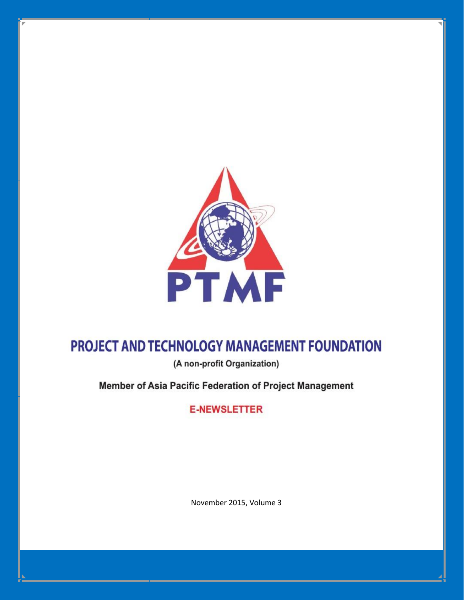

# PROJECT AND TECHNOLOGY MANAGEMENT FOUNDATION

(A non-profit Organization)

Member of Asia Pacific Federation of Project Management

**E-NEWSLETTER** 

November 2015, Volume 3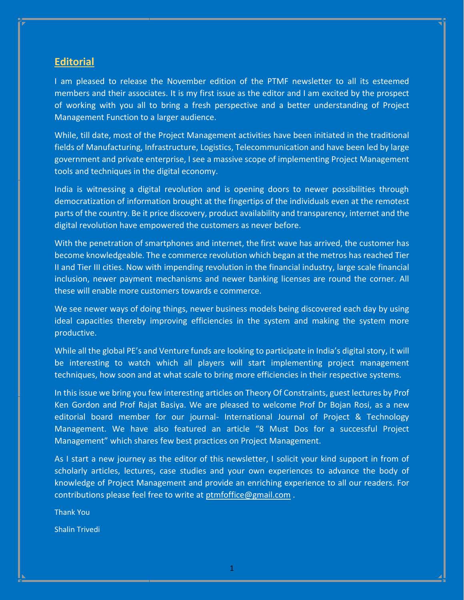#### **Editorial**

I am pleased to release the November edition of the PTMF newsletter to all its esteemed members and their associates. It is my first issue as the editor and I am excited by the prospect of working with you all to bring a fresh perspective and a better understanding of Project Management Function to a larger audience.

While, till date, most of the Project Management activities have been initiated in the traditional fields of Manufacturing, Infrastructure, Logistics, Telecommunication and have been led by large government and private enterprise, I see a massive scope of implementing Project Management tools and techniques in the digital economy.

India is witnessing a digital revolution and is opening doors to newer possibilities through democratization of information brought at the fingertips of the individuals even at the remotest parts of the country. Be it price discovery, product availability and transparency, internet and the digital revolution have empowered the customers as never before.

With the penetration of smartphones and internet, the first wave has arrived, the customer has become knowledgeable. The e commerce revolution which began at the metros has reached Tier II and Tier III cities. Now with impending revolution in the financial industry, large scale financial inclusion, newer payment mechanisms and newer banking licenses are round the corner. All these will enable more customers towards e commerce.

We see newer ways of doing things, newer business models being discovered each day by using ideal capacities thereby improving efficiencies in the system and making the system more productive.

While all the global PE's and Venture funds are looking to participate in India's digital story, it will be interesting to watch which all players will start implementing project management techniques, how soon and at what scale to bring more efficiencies in their respective systems.

In this issue we bring you few interesting articles on Theory Of Constraints, guest lectures by Prof Ken Gordon and Prof Rajat Basiya. We are pleased to welcome Prof Dr Bojan Rosi, as a new editorial board member for our journal- International Journal of Project & Technology Management. We have also featured an article "8 Must Dos for a successful Project Management" which shares few best practices on Project Management.

As I start a new journey as the editor of this newsletter, I solicit your kind support in from of scholarly articles, lectures, case studies and your own experiences to advance the body of knowledge of Project Management and provide an enriching experience to all our readers. For contributions please feel free to write at [ptmfoffice@gmail.com](mailto:ptmfoffice@gmail.com) .

Thank You

Shalin Trivedi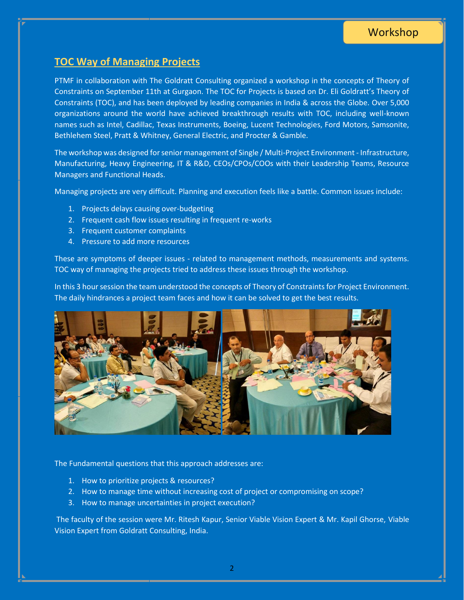### **TOC Way of Managing Projects**

PTMF in collaboration with The Goldratt Consulting organized a workshop in the concepts of Theory of Constraints on September 11th at Gurgaon. The TOC for Projects is based on Dr. Eli Goldratt's Theory of Constraints (TOC), and has been deployed by leading companies in India & across the Globe. Over 5,000 organizations around the world have achieved breakthrough results with TOC, including well-known names such as Intel, Cadillac, Texas Instruments, Boeing, Lucent Technologies, Ford Motors, Samsonite, Bethlehem Steel, Pratt & Whitney, General Electric, and Procter & Gamble.

The workshop was designed for senior management of Single / Multi-Project Environment - Infrastructure, Manufacturing, Heavy Engineering, IT & R&D, CEOs/CPOs/COOs with their Leadership Teams, Resource Managers and Functional Heads.

Managing projects are very difficult. Planning and execution feels like a battle. Common issues include:

- 1. Projects delays causing over-budgeting
- 2. Frequent cash flow issues resulting in frequent re-works
- 3. Frequent customer complaints
- 4. Pressure to add more resources

These are symptoms of deeper issues - related to management methods, measurements and systems. TOC way of managing the projects tried to address these issues through the workshop.

In this 3 hour session the team understood the concepts of Theory of Constraints for Project Environment. The daily hindrances a project team faces and how it can be solved to get the best results.



The Fundamental questions that this approach addresses are:

- 1. How to prioritize projects & resources?
- 2. How to manage time without increasing cost of project or compromising on scope?
- 3. How to manage uncertainties in project execution?

The faculty of the session were Mr. Ritesh Kapur, Senior Viable Vision Expert & Mr. Kapil Ghorse, Viable Vision Expert from Goldratt Consulting, India.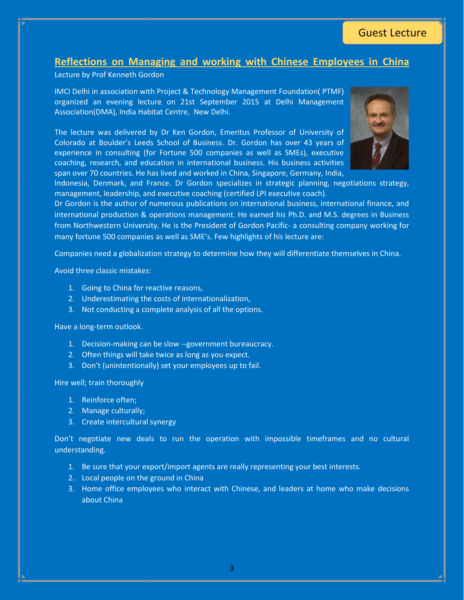# Guest Lecture

#### **Reflections on Managing and working with Chinese Employees in China**

Lecture by Prof Kenneth Gordon

IMCI Delhi in association with Project & Technology Management Foundation( PTMF) organized an evening lecture on 21st September 2015 at Delhi Management Association(DMA), India Habitat Centre, New Delhi.

The lecture was delivered by Dr Ken Gordon, Emeritus Professor of University of Colorado at Boulder's Leeds School of Business. Dr. Gordon has over 43 years of experience in consulting (for Fortune 500 companies as well as SMEs), executive coaching, research, and education in international business. His business activities span over 70 countries. He has lived and worked in China, Singapore, Germany, India,



Indonesia, Denmark, and France. Dr Gordon specializes in strategic planning, negotiations strategy, management, leadership, and executive coaching (certified LPI executive coach).

Dr Gordon is the author of numerous publications on international business, international finance, and international production & operations management. He earned his Ph.D. and M.S. degrees in Business from Northwestern University. He is the President of Gordon Pacific- a consulting company working for many fortune 500 companies as well as SME's. Few highlights of his lecture are:

Companies need a globalization strategy to determine how they will differentiate themselves in China.

Avoid three classic mistakes:

- 1. Going to China for reactive reasons,
- 2. Underestimating the costs of internationalization,
- 3. Not conducting a complete analysis of all the options.

Have a long-term outlook.

- 1. Decision-making can be slow --government bureaucracy.
- 2. Often things will take twice as long as you expect.
- 3. Don't (unintentionally) set your employees up to fail.

Hire well; train thoroughly

- 1. Reinforce often;
- 2. Manage culturally;
- 3. Create intercultural synergy

Don't negotiate new deals to run the operation with impossible timeframes and no cultural understanding.

- 1. Be sure that your export/import agents are really representing your best interests.
- 2. Local people on the ground in China
- 3. Home office employees who interact with Chinese, and leaders at home who make decisions about China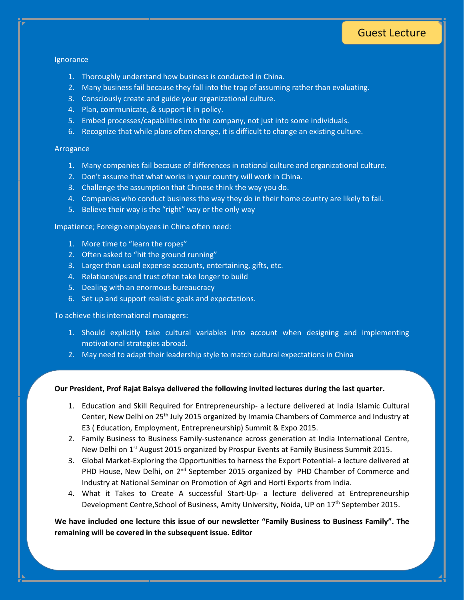# Guest Lecture

#### **Ignorance**

- 1. Thoroughly understand how business is conducted in China.
- 2. Many business fail because they fall into the trap of assuming rather than evaluating.
- 3. Consciously create and guide your organizational culture.
- 4. Plan, communicate, & support it in policy.
- 5. Embed processes/capabilities into the company, not just into some individuals.
- 6. Recognize that while plans often change, it is difficult to change an existing culture.

#### Arrogance

- 1. Many companies fail because of differences in national culture and organizational culture.
- 2. Don't assume that what works in your country will work in China.
- 3. Challenge the assumption that Chinese think the way you do.
- 4. Companies who conduct business the way they do in their home country are likely to fail.
- 5. Believe their way is the "right" way or the only way

Impatience; Foreign employees in China often need:

- 1. More time to "learn the ropes"
- 2. Often asked to "hit the ground running"
- 3. Larger than usual expense accounts, entertaining, gifts, etc.
- 4. Relationships and trust often take longer to build
- 5. Dealing with an enormous bureaucracy
- 6. Set up and support realistic goals and expectations.

To achieve this international managers:

- 1. Should explicitly take cultural variables into account when designing and implementing motivational strategies abroad.
- 2. May need to adapt their leadership style to match cultural expectations in China

#### **Our President, Prof Rajat Baisya delivered the following invited lectures during the last quarter.**

- 1. Education and Skill Required for Entrepreneurship- a lecture delivered at India Islamic Cultural Center, New Delhi on 25<sup>th</sup> July 2015 organized by Imamia Chambers of Commerce and Industry at E3 ( Education, Employment, Entrepreneurship) Summit & Expo 2015.
- 2. Family Business to Business Family-sustenance across generation at India International Centre, New Delhi on 1<sup>st</sup> August 2015 organized by Prospur Events at Family Business Summit 2015.
- 3. Global Market-Exploring the Opportunities to harness the Export Potential- a lecture delivered at PHD House, New Delhi, on  $2<sup>nd</sup>$  September 2015 organized by PHD Chamber of Commerce and Industry at National Seminar on Promotion of Agri and Horti Exports from India.
- 4. What it Takes to Create A successful Start-Up- a lecture delivered at Entrepreneurship Development Centre, School of Business, Amity University, Noida, UP on 17<sup>th</sup> September 2015.

**We have included one lecture this issue of our newsletter "Family Business to Business Family". The remaining will be covered in the subsequent issue. Editor**

4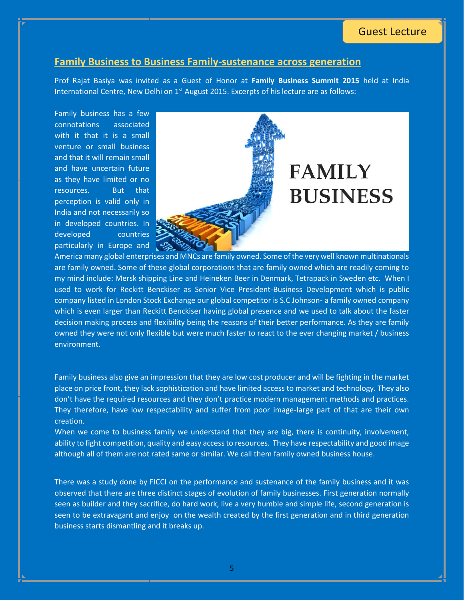### Guest Lecture

#### **Family Business to Business Family-sustenance across generation**

Prof Rajat Basiya was invited as a Guest of Honor at **Family Business Summit 2015** held at India International Centre, New Delhi on 1<sup>st</sup> August 2015. Excerpts of his lecture are as follows:

Family business has a few connotations associated with it that it is a small venture or small business and that it will remain small and have uncertain future as they have limited or no resources. But that perception is valid only in India and not necessarily so in developed countries. In developed countries particularly in Europe and



America many global enterprises and MNCs are family owned. Some of the very well known multinationals are family owned. Some of these global corporations that are family owned which are readily coming to my mind include: Mersk shipping Line and Heineken Beer in Denmark, Tetrapack in Sweden etc. When I used to work for Reckitt Benckiser as Senior Vice President-Business Development which is public company listed in London Stock Exchange our global competitor is S.C Johnson- a family owned company which is even larger than Reckitt Benckiser having global presence and we used to talk about the faster decision making process and flexibility being the reasons of their better performance. As they are family owned they were not only flexible but were much faster to react to the ever changing market / business environment.

Family business also give an impression that they are low cost producer and will be fighting in the market place on price front, they lack sophistication and have limited access to market and technology. They also don't have the required resources and they don't practice modern management methods and practices. They therefore, have low respectability and suffer from poor image-large part of that are their own creation.

When we come to business family we understand that they are big, there is continuity, involvement, ability to fight competition, quality and easy access to resources. They have respectability and good image although all of them are not rated same or similar. We call them family owned business house.

There was a study done by FICCI on the performance and sustenance of the family business and it was observed that there are three distinct stages of evolution of family businesses. First generation normally seen as builder and they sacrifice, do hard work, live a very humble and simple life, second generation is seen to be extravagant and enjoy on the wealth created by the first generation and in third generation business starts dismantling and it breaks up.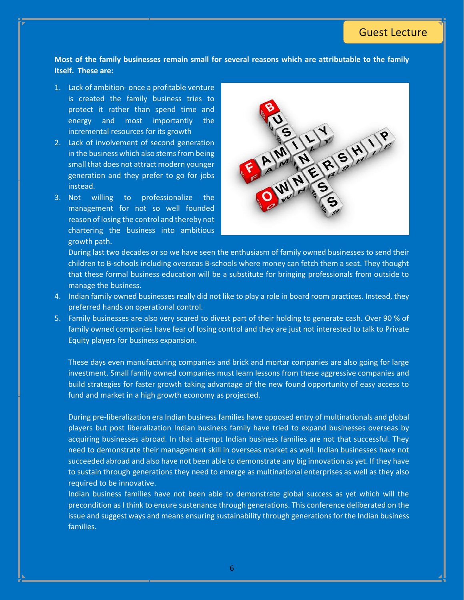**Most of the family businesses remain small for several reasons which are attributable to the family itself. These are:**

- 1. Lack of ambition- once a profitable venture is created the family business tries to protect it rather than spend time and energy and most importantly the incremental resources for its growth
- 2. Lack of involvement of second generation in the business which also stems from being small that does not attract modern younger generation and they prefer to go for jobs instead.
- 3. Not willing to professionalize the management for not so well founded reason of losing the control and thereby not chartering the business into ambitious growth path.



During last two decades or so we have seen the enthusiasm of family owned businesses to send their children to B-schools including overseas B-schools where money can fetch them a seat. They thought that these formal business education will be a substitute for bringing professionals from outside to manage the business.

- 4. Indian family owned businesses really did not like to play a role in board room practices. Instead, they preferred hands on operational control.
- 5. Family businesses are also very scared to divest part of their holding to generate cash. Over 90 % of family owned companies have fear of losing control and they are just not interested to talk to Private Equity players for business expansion.

These days even manufacturing companies and brick and mortar companies are also going for large investment. Small family owned companies must learn lessons from these aggressive companies and build strategies for faster growth taking advantage of the new found opportunity of easy access to fund and market in a high growth economy as projected.

During pre-liberalization era Indian business families have opposed entry of multinationals and global players but post liberalization Indian business family have tried to expand businesses overseas by acquiring businesses abroad. In that attempt Indian business families are not that successful. They need to demonstrate their management skill in overseas market as well. Indian businesses have not succeeded abroad and also have not been able to demonstrate any big innovation as yet. If they have to sustain through generations they need to emerge as multinational enterprises as well as they also required to be innovative.

Indian business families have not been able to demonstrate global success as yet which will the precondition as I think to ensure sustenance through generations. This conference deliberated on the issue and suggest ways and means ensuring sustainability through generations for the Indian business families.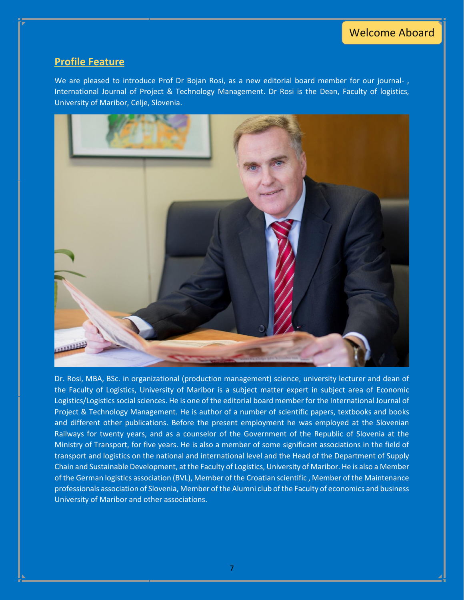### **Profile Feature**

We are pleased to introduce Prof Dr Bojan Rosi, as a new editorial board member for our journal- , International Journal of Project & Technology Management. Dr Rosi is the Dean, Faculty of logistics, University of Maribor, Celje, Slovenia.



Dr. Rosi, MBA, BSc. in organizational (production management) science, university lecturer and dean of the Faculty of Logistics, University of Maribor is a subject matter expert in subject area of Economic Logistics/Logistics social sciences. He is one of the editorial board member for the International Journal of Project & Technology Management. He is author of a number of scientific papers, textbooks and books and different other publications. Before the present employment he was employed at the Slovenian Railways for twenty years, and as a counselor of the Government of the Republic of Slovenia at the Ministry of Transport, for five years. He is also a member of some significant associations in the field of transport and logistics on the national and international level and the Head of the Department of Supply Chain and Sustainable Development, at the Faculty of Logistics, University of Maribor. He is also a Member of the German logistics association (BVL), Member of the Croatian scientific , Member of the Maintenance professionals association of Slovenia, Member of the Alumni club of the Faculty of economics and business University of Maribor and other associations.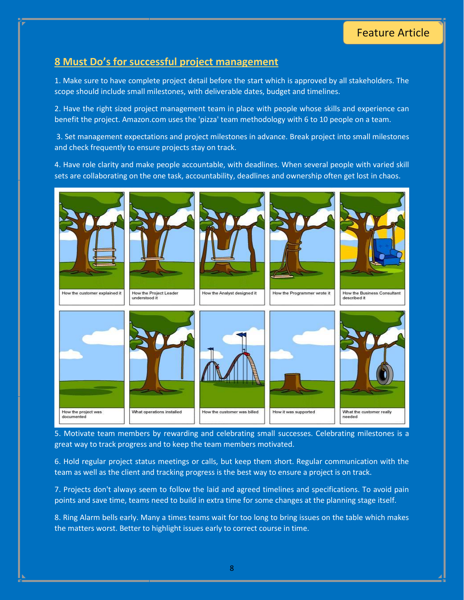# **8 Must Do's for successful project management**

1. Make sure to have complete project detail before the start which is approved by all stakeholders. The scope should include small milestones, with deliverable dates, budget and timelines.

2. Have the right sized project management team in place with people whose skills and experience can benefit the project. Amazon.com uses the 'pizza' team methodology with 6 to 10 people on a team.

3. Set management expectations and project milestones in advance. Break project into small milestones and check frequently to ensure projects stay on track.

4. Have role clarity and make people accountable, with deadlines. When several people with varied skill sets are collaborating on the one task, accountability, deadlines and ownership often get lost in chaos.



5. Motivate team members by rewarding and celebrating small successes. Celebrating milestones is a great way to track progress and to keep the team members motivated.

6. Hold regular project status meetings or calls, but keep them short. Regular communication with the team as well as the client and tracking progress is the best way to ensure a project is on track.

7. Projects don't always seem to follow the laid and agreed timelines and specifications. To avoid pain points and save time, teams need to build in extra time for some changes at the planning stage itself.

8. Ring Alarm bells early. Many a times teams wait for too long to bring issues on the table which makes the matters worst. Better to highlight issues early to correct course in time.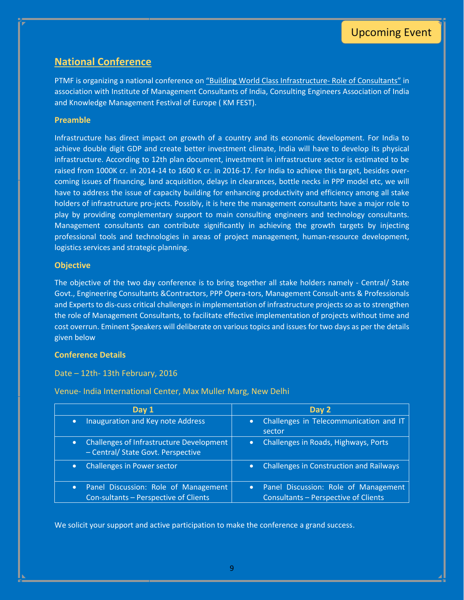### **National Conference**

PTMF is organizing a national conference on "Building World Class Infrastructure- Role of Consultants" in association with Institute of Management Consultants of India, Consulting Engineers Association of India and Knowledge Management Festival of Europe ( KM FEST).

#### **Preamble**

Infrastructure has direct impact on growth of a country and its economic development. For India to achieve double digit GDP and create better investment climate, India will have to develop its physical infrastructure. According to 12th plan document, investment in infrastructure sector is estimated to be raised from 1000K cr. in 2014-14 to 1600 K cr. in 2016-17. For India to achieve this target, besides overcoming issues of financing, land acquisition, delays in clearances, bottle necks in PPP model etc, we will have to address the issue of capacity building for enhancing productivity and efficiency among all stake holders of infrastructure pro-jects. Possibly, it is here the management consultants have a major role to play by providing complementary support to main consulting engineers and technology consultants. Management consultants can contribute significantly in achieving the growth targets by injecting professional tools and technologies in areas of project management, human-resource development, logistics services and strategic planning.

#### **Objective**

The objective of the two day conference is to bring together all stake holders namely - Central/ State Govt., Engineering Consultants &Contractors, PPP Opera-tors, Management Consult-ants & Professionals and Experts to dis-cuss critical challenges in implementation of infrastructure projects so as to strengthen the role of Management Consultants, to facilitate effective implementation of projects without time and cost overrun. Eminent Speakers will deliberate on various topics and issues for two days as per the details given below

#### **Conference Details**

#### Date – 12th- 13th February, 2016

**Day 1 Day 2** • Inauguration and Key note Address | • Challenges in Telecommunication and IT sector Challenges of Infrastructure Development – Central/ State Govt. Perspective • Challenges in Roads, Highways, Ports • Challenges in Power sector **Challenges in Construction and Railways**  Panel Discussion: Role of Management Con-sultants – Perspective of Clients • Panel Discussion: Role of Management Consultants – Perspective of Clients

Venue- India International Center, Max Muller Marg, New Delhi

We solicit your support and active participation to make the conference a grand success.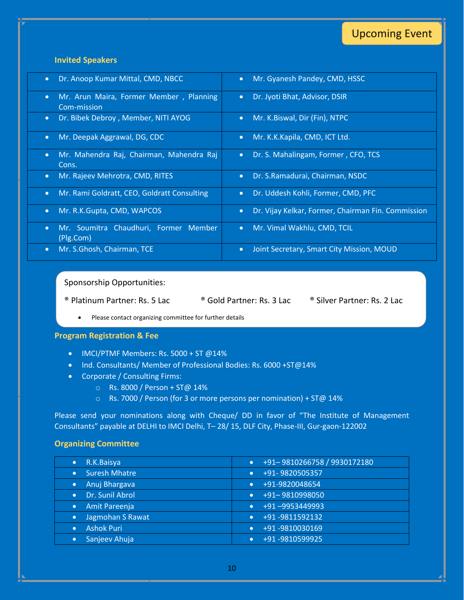# Upcoming Event

### **Invited Speakers**

| Dr. Anoop Kumar Mittal, CMD, NBCC                                   | Mr. Gyanesh Pandey, CMD, HSSC                      |
|---------------------------------------------------------------------|----------------------------------------------------|
| $\bullet$                                                           | $\bullet$                                          |
| Mr. Arun Maira, Former Member, Planning<br>$\bullet$<br>Com-mission | Dr. Jyoti Bhat, Advisor, DSIR<br>$\bullet$         |
| Dr. Bibek Debroy, Member, NITI AYOG                                 | Mr. K.Biswal, Dir (Fin), NTPC                      |
| $\bullet$                                                           | $\bullet$                                          |
| Mr. Deepak Aggrawal, DG, CDC                                        | Mr. K.K.Kapila, CMD, ICT Ltd.                      |
| $\bullet$                                                           | $\bullet$                                          |
| Mr. Mahendra Raj, Chairman, Mahendra Raj<br>$\bullet$<br>Cons.      | Dr. S. Mahalingam, Former, CFO, TCS<br>$\bullet$   |
| Mr. Rajeev Mehrotra, CMD, RITES                                     | Dr. S.Ramadurai, Chairman, NSDC                    |
| $\bullet$                                                           | $\bullet$                                          |
| Mr. Rami Goldratt, CEO, Goldratt Consulting                         | Dr. Uddesh Kohli, Former, CMD, PFC                 |
| $\bullet$                                                           | $\bullet$                                          |
| Mr. R.K.Gupta, CMD, WAPCOS                                          | Dr. Vijay Kelkar, Former, Chairman Fin. Commission |
| $\bullet$                                                           | $\bullet$                                          |
| Mr. Soumitra Chaudhuri, Former Member<br>$\bullet$<br>(Plg.Com)     | Mr. Vimal Wakhlu, CMD, TCIL<br>$\bullet$           |
| Mr. S.Ghosh, Chairman, TCE                                          | Joint Secretary, Smart City Mission, MOUD          |
| $\bullet$                                                           | $\bullet$                                          |

Sponsorship Opportunities:

® Platinum Partner: Rs. 5 Lac ® Gold Partner: Rs. 3 Lac ® Silver Partner: Rs. 2 Lac

Please contact organizing committee for further details

#### **Program Registration & Fee**

- IMCI/PTMF Members: Rs. 5000 + ST @14%
- Ind. Consultants/ Member of Professional Bodies: Rs. 6000 +ST@14%
- Corporate / Consulting Firms:
	- o Rs. 8000 / Person + ST@ 14%
	- o Rs. 7000 / Person (for 3 or more persons per nomination) + ST@ 14%

Please send your nominations along with Cheque/ DD in favor of "The Institute of Management Consultants" payable at DELHI to IMCI Delhi, T– 28/ 15, DLF City, Phase-III, Gur-gaon-122002

#### **Organizing Committee**

| R.K.Baisya<br>$\bullet$           | +91-9810266758 / 9930172180 |
|-----------------------------------|-----------------------------|
| <b>Suresh Mhatre</b><br>$\bullet$ | +91-9820505357              |
| Anuj Bhargava<br>$\bullet$        | +91-9820048654              |
| Dr. Sunil Abrol<br>$\bullet$      | +91-9810998050              |
| Amit Pareenja<br>$\bullet$        | +91-9953449993              |
| Jagmohan S Rawat<br>$\bullet$     | +91-9811592132              |
| <b>Ashok Puri</b><br>$\bullet$    | +91-9810030169              |
| Sanjeev Ahuja<br>$\bullet$        | +91-9810599925              |